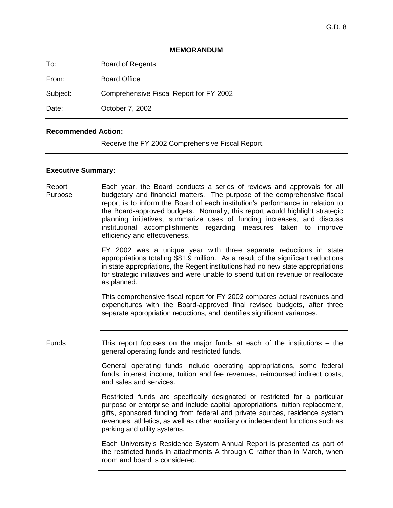# **MEMORANDUM**

To: Board of Regents

From: Board Office

Subject: Comprehensive Fiscal Report for FY 2002

Date: **October 7, 2002** 

# **Recommended Action:**

Receive the FY 2002 Comprehensive Fiscal Report.

## **Executive Summary:**

Report Purpose Each year, the Board conducts a series of reviews and approvals for all budgetary and financial matters. The purpose of the comprehensive fiscal report is to inform the Board of each institution's performance in relation to the Board-approved budgets. Normally, this report would highlight strategic planning initiatives, summarize uses of funding increases, and discuss institutional accomplishments regarding measures taken to improve efficiency and effectiveness.

> FY 2002 was a unique year with three separate reductions in state appropriations totaling \$81.9 million. As a result of the significant reductions in state appropriations, the Regent institutions had no new state appropriations for strategic initiatives and were unable to spend tuition revenue or reallocate as planned.

> This comprehensive fiscal report for FY 2002 compares actual revenues and expenditures with the Board-approved final revised budgets, after three separate appropriation reductions, and identifies significant variances.

Funds This report focuses on the major funds at each of the institutions – the general operating funds and restricted funds.

> General operating funds include operating appropriations, some federal funds, interest income, tuition and fee revenues, reimbursed indirect costs, and sales and services.

> Restricted funds are specifically designated or restricted for a particular purpose or enterprise and include capital appropriations, tuition replacement, gifts, sponsored funding from federal and private sources, residence system revenues, athletics, as well as other auxiliary or independent functions such as parking and utility systems.

> Each University's Residence System Annual Report is presented as part of the restricted funds in attachments A through C rather than in March, when room and board is considered.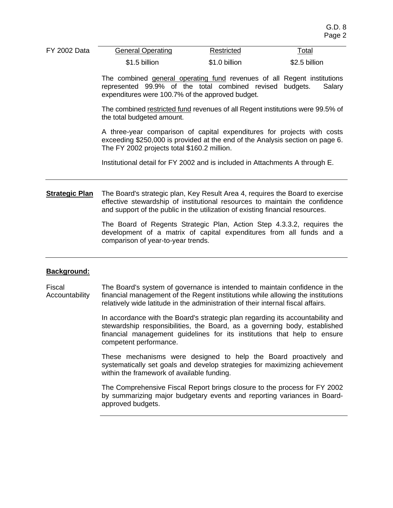| <b>FY 2002 Data</b> | <b>General Operating</b> | Restricted    | ™otal<br>____ |
|---------------------|--------------------------|---------------|---------------|
|                     | \$1.5 billion            | \$1.0 billion | \$2.5 billion |

The combined general operating fund revenues of all Regent institutions represented 99.9% of the total combined revised budgets. Salary expenditures were 100.7% of the approved budget.

The combined restricted fund revenues of all Regent institutions were 99.5% of the total budgeted amount.

A three-year comparison of capital expenditures for projects with costs exceeding \$250,000 is provided at the end of the Analysis section on page 6. The FY 2002 projects total \$160.2 million.

Institutional detail for FY 2002 and is included in Attachments A through E.

**Strategic Plan** The Board's strategic plan, Key Result Area 4, requires the Board to exercise effective stewardship of institutional resources to maintain the confidence and support of the public in the utilization of existing financial resources.

> The Board of Regents Strategic Plan, Action Step 4.3.3.2, requires the development of a matrix of capital expenditures from all funds and a comparison of year-to-year trends.

## **Background:**

Fiscal Accountability The Board's system of governance is intended to maintain confidence in the financial management of the Regent institutions while allowing the institutions relatively wide latitude in the administration of their internal fiscal affairs.

> In accordance with the Board's strategic plan regarding its accountability and stewardship responsibilities, the Board, as a governing body, established financial management guidelines for its institutions that help to ensure competent performance.

> These mechanisms were designed to help the Board proactively and systematically set goals and develop strategies for maximizing achievement within the framework of available funding.

> The Comprehensive Fiscal Report brings closure to the process for FY 2002 by summarizing major budgetary events and reporting variances in Boardapproved budgets.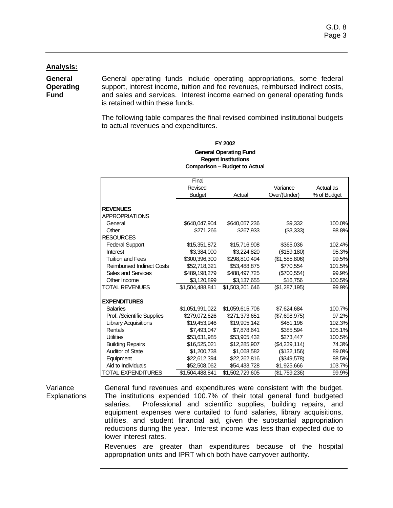# **Analysis:**

**General Operating Fund** 

General operating funds include operating appropriations, some federal support, interest income, tuition and fee revenues, reimbursed indirect costs, and sales and services. Interest income earned on general operating funds is retained within these funds.

The following table compares the final revised combined institutional budgets to actual revenues and expenditures.

|                                  | Final           |                 |               |             |
|----------------------------------|-----------------|-----------------|---------------|-------------|
|                                  | Revised         |                 | Variance      | Actual as   |
|                                  | <b>Budget</b>   | Actual          | Over/(Under)  | % of Budget |
| <b>REVENUES</b>                  |                 |                 |               |             |
| <b>APPROPRIATIONS</b>            |                 |                 |               |             |
| General                          | \$640,047,904   | \$640,057,236   | \$9,332       | 100.0%      |
| Other                            | \$271.266       | \$267.933       | (\$3,333)     | 98.8%       |
| <b>RESOURCES</b>                 |                 |                 |               |             |
| <b>Federal Support</b>           | \$15,351,872    | \$15,716,908    | \$365,036     | 102.4%      |
| Interest                         | \$3,384,000     | \$3,224,820     | (\$159, 180)  | 95.3%       |
| <b>Tuition and Fees</b>          | \$300,396,300   | \$298,810,494   | (\$1,585,806) | 99.5%       |
| <b>Reimbursed Indirect Costs</b> | \$52,718,321    | \$53,488,875    | \$770,554     | 101.5%      |
| <b>Sales and Services</b>        | \$489,198,279   | \$488,497,725   | (\$700,554)   | 99.9%       |
| Other Income                     | \$3,120,899     | \$3,137,655     | \$16,756      | 100.5%      |
| <b>TOTAL REVENUES</b>            | \$1,504,488,841 | \$1,503,201,646 | (\$1,287,195) | 99.9%       |
| <b>EXPENDITURES</b>              |                 |                 |               |             |
| <b>Salaries</b>                  | \$1,051,991,022 | \$1,059,615,706 | \$7,624,684   | 100.7%      |
| Prof. /Scientific Supplies       | \$279,072,626   | \$271,373,651   | (\$7,698,975) | 97.2%       |
| <b>Library Acquisitions</b>      | \$19,453,946    | \$19,905,142    | \$451,196     | 102.3%      |
| Rentals                          | \$7,493,047     | \$7,878,641     | \$385,594     | 105.1%      |
| <b>Utilities</b>                 | \$53,631,985    | \$53,905,432    | \$273,447     | 100.5%      |
| <b>Building Repairs</b>          | \$16,525,021    | \$12,285,907    | (\$4,239,114) | 74.3%       |
| <b>Auditor of State</b>          | \$1,200,738     | \$1,068,582     | (\$132, 156)  | 89.0%       |
| Equipment                        | \$22,612,394    | \$22,262,816    | (\$349,578)   | 98.5%       |
| Aid to Individuals               | \$52,508,062    | \$54,433,728    | \$1,925,666   | 103.7%      |
| <b>TOTAL EXPENDITURES</b>        | \$1,504,488,841 | \$1,502,729,605 | (\$1,759,236) | 99.9%       |

#### **Regent Institutions Comparison – Budget to Actual FY 2002 General Operating Fund**

Variance **Explanations**  General fund revenues and expenditures were consistent with the budget. The institutions expended 100.7% of their total general fund budgeted salaries. Professional and scientific supplies, building repairs, and equipment expenses were curtailed to fund salaries, library acquisitions, utilities, and student financial aid, given the substantial appropriation reductions during the year. Interest income was less than expected due to lower interest rates.

Revenues are greater than expenditures because of the hospital appropriation units and IPRT which both have carryover authority.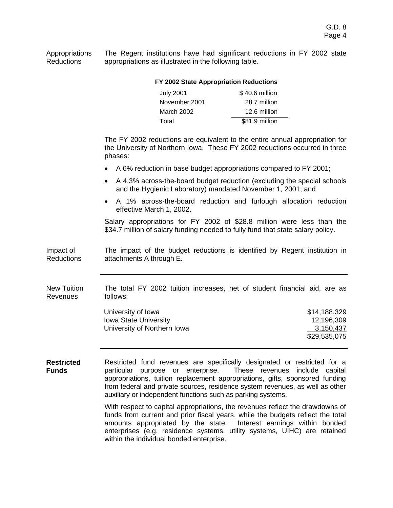Appropriations Reductions The Regent institutions have had significant reductions in FY 2002 state appropriations as illustrated in the following table.

|                                   | FY 2002 State Appropriation Reductions                                                                                                                                                                                                                                                                                                                                          |                                                                                                                                                             |  |  |  |
|-----------------------------------|---------------------------------------------------------------------------------------------------------------------------------------------------------------------------------------------------------------------------------------------------------------------------------------------------------------------------------------------------------------------------------|-------------------------------------------------------------------------------------------------------------------------------------------------------------|--|--|--|
|                                   | <b>July 2001</b>                                                                                                                                                                                                                                                                                                                                                                | \$40.6 million                                                                                                                                              |  |  |  |
|                                   | November 2001                                                                                                                                                                                                                                                                                                                                                                   | 28.7 million                                                                                                                                                |  |  |  |
|                                   | March 2002                                                                                                                                                                                                                                                                                                                                                                      | 12.6 million                                                                                                                                                |  |  |  |
|                                   | Total                                                                                                                                                                                                                                                                                                                                                                           | \$81.9 million                                                                                                                                              |  |  |  |
|                                   | phases:                                                                                                                                                                                                                                                                                                                                                                         | The FY 2002 reductions are equivalent to the entire annual appropriation for<br>the University of Northern Iowa. These FY 2002 reductions occurred in three |  |  |  |
|                                   |                                                                                                                                                                                                                                                                                                                                                                                 | A 6% reduction in base budget appropriations compared to FY 2001;                                                                                           |  |  |  |
|                                   | and the Hygienic Laboratory) mandated November 1, 2001; and                                                                                                                                                                                                                                                                                                                     | A 4.3% across-the-board budget reduction (excluding the special schools                                                                                     |  |  |  |
|                                   | effective March 1, 2002.                                                                                                                                                                                                                                                                                                                                                        | A 1% across-the-board reduction and furlough allocation reduction                                                                                           |  |  |  |
|                                   | \$34.7 million of salary funding needed to fully fund that state salary policy.                                                                                                                                                                                                                                                                                                 | Salary appropriations for FY 2002 of \$28.8 million were less than the                                                                                      |  |  |  |
| Impact of<br><b>Reductions</b>    | attachments A through E.                                                                                                                                                                                                                                                                                                                                                        | The impact of the budget reductions is identified by Regent institution in                                                                                  |  |  |  |
| <b>New Tuition</b><br>Revenues    | follows:                                                                                                                                                                                                                                                                                                                                                                        | The total FY 2002 tuition increases, net of student financial aid, are as                                                                                   |  |  |  |
|                                   | University of Iowa                                                                                                                                                                                                                                                                                                                                                              | \$14,188,329                                                                                                                                                |  |  |  |
|                                   | <b>Iowa State University</b>                                                                                                                                                                                                                                                                                                                                                    | 12,196,309                                                                                                                                                  |  |  |  |
|                                   | University of Northern Iowa                                                                                                                                                                                                                                                                                                                                                     | 3,150,437<br>\$29,535,075                                                                                                                                   |  |  |  |
| <b>Restricted</b><br><b>Funds</b> | Restricted fund revenues are specifically designated or restricted for a<br>particular purpose or enterprise.<br>These revenues include capital<br>appropriations, tuition replacement appropriations, gifts, sponsored funding<br>from federal and private sources, residence system revenues, as well as other<br>auxiliary or independent functions such as parking systems. |                                                                                                                                                             |  |  |  |
|                                   | With respect to capital appropriations, the revenues reflect the drawdowns of<br>funds from current and prior fiscal years, while the budgets reflect the total<br>Interest earnings within bonded<br>amounts appropriated by the state.<br>enterprises (e.g. residence systems, utility systems, UIHC) are retained<br>within the individual bonded enterprise.                |                                                                                                                                                             |  |  |  |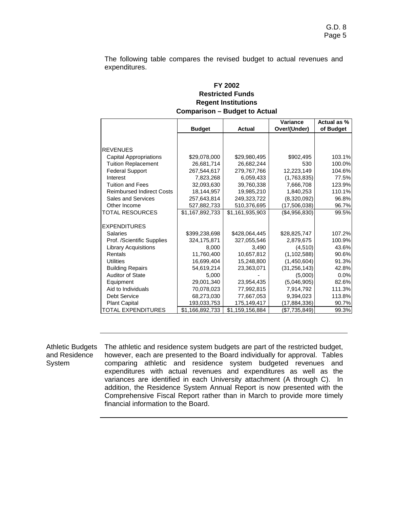The following table compares the revised budget to actual revenues and expenditures.

# **Regent Institutions Comparison – Budget to Actual FY 2002 Restricted Funds**

|                                  |                 |                 | Variance       | Actual as % |
|----------------------------------|-----------------|-----------------|----------------|-------------|
|                                  | <b>Budget</b>   | <b>Actual</b>   | Over/(Under)   | of Budget   |
|                                  |                 |                 |                |             |
|                                  |                 |                 |                |             |
| <b>REVENUES</b>                  |                 |                 |                |             |
| <b>Capital Appropriations</b>    | \$29,078,000    | \$29,980,495    | \$902,495      | 103.1%      |
| <b>Tuition Replacement</b>       | 26,681,714      | 26,682,244      | 530            | 100.0%      |
| <b>Federal Support</b>           | 267.544.617     | 279.767.766     | 12.223.149     | 104.6%      |
| Interest                         | 7,823,268       | 6,059,433       | (1,763,835)    | 77.5%       |
| <b>Tuition and Fees</b>          | 32,093,630      | 39,760,338      | 7,666,708      | 123.9%      |
| <b>Reimbursed Indirect Costs</b> | 18,144,957      | 19,985,210      | 1,840,253      | 110.1%      |
| <b>Sales and Services</b>        | 257,643,814     | 249,323,722     | (8,320,092)    | 96.8%       |
| Other Income                     | 527,882,733     | 510,376,695     | (17,506,038)   | 96.7%       |
| <b>TOTAL RESOURCES</b>           | \$1,167,892,733 | \$1,161,935,903 | (\$4,956,830)  | 99.5%       |
|                                  |                 |                 |                |             |
| <b>EXPENDITURES</b>              |                 |                 |                |             |
| Salaries                         | \$399,238,698   | \$428,064,445   | \$28,825,747   | 107.2%      |
| Prof. /Scientific Supplies       | 324.175.871     | 327.055.546     | 2,879,675      | 100.9%      |
| <b>Library Acquisitions</b>      | 8.000           | 3.490           | (4,510)        | 43.6%       |
| Rentals                          | 11,760,400      | 10,657,812      | (1, 102, 588)  | 90.6%       |
| <b>Utilities</b>                 | 16.699.404      | 15,248,800      | (1,450,604)    | 91.3%       |
| <b>Building Repairs</b>          | 54,619,214      | 23,363,071      | (31, 256, 143) | 42.8%       |
| <b>Auditor of State</b>          | 5.000           |                 | (5,000)        | 0.0%        |
| Equipment                        | 29.001.340      | 23,954,435      | (5,046,905)    | 82.6%       |
| Aid to Individuals               | 70,078,023      | 77,992,815      | 7,914,792      | 111.3%      |
| <b>Debt Service</b>              | 68,273,030      | 77,667,053      | 9,394,023      | 113.8%      |
| <b>Plant Capital</b>             | 193,033,753     | 175,149,417     | (17,884,336)   | 90.7%       |
| <b>TOTAL EXPENDITURES</b>        | \$1,166,892,733 | \$1,159,156,884 | (\$7,735,849)  | 99.3%       |

Athletic Budgets and Residence System The athletic and residence system budgets are part of the restricted budget, however, each are presented to the Board individually for approval. Tables comparing athletic and residence system budgeted revenues and expenditures with actual revenues and expenditures as well as the variances are identified in each University attachment (A through C). In addition, the Residence System Annual Report is now presented with the Comprehensive Fiscal Report rather than in March to provide more timely financial information to the Board.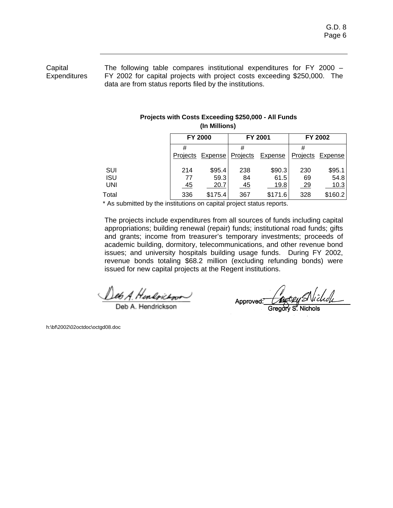**Capital Expenditures**  The following table compares institutional expenditures for FY 2000 – FY 2002 for capital projects with project costs exceeding \$250,000. The data are from status reports filed by the institutions.

#### **Projects with Costs Exceeding \$250,000 - All Funds (In Millions)**

|            | <b>FY 2000</b> |                  |          | FY 2001        | FY 2002   |         |  |
|------------|----------------|------------------|----------|----------------|-----------|---------|--|
|            | #              |                  | #        |                | #         |         |  |
|            |                | Projects Expense | Projects | <b>Expense</b> | Projects  | Expense |  |
| SUI        | 214            | \$95.4           | 238      | \$90.3         | 230       | \$95.1  |  |
| <b>ISU</b> | 77             | 59.3             | 84       | 61.5           | 69        | 54.8    |  |
| <b>UNI</b> | <u>45</u>      | 20.7             | 45       | 19.8           | <u>29</u> | 10.3    |  |
| Total      | 336            | \$175.4          | 367      | \$171.6        | 328       | \$160.2 |  |

\* As submitted by the institutions on capital project status reports.

 The projects include expenditures from all sources of funds including capital appropriations; building renewal (repair) funds; institutional road funds; gifts and grants; income from treasurer's temporary investments; proceeds of academic building, dormitory, telecommunications, and other revenue bond issues; and university hospitals building usage funds. During FY 2002, revenue bonds totaling \$68.2 million (excluding refunding bonds) were issued for new capital projects at the Regent institutions.

es A. Herbrichon

)eb A. Hendricksor

Repoly Michel Approved:

h:\bf\2002\02octdoc\octgd08.doc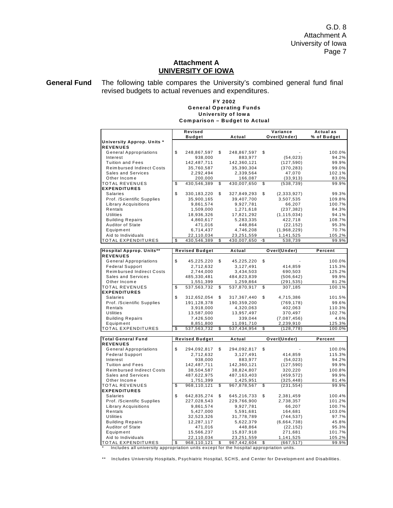G.D. 8 Attachment A University of Iowa Page 7

## **Attachment A UNIVERSITY OF IOWA**

**General Fund** The following table compares the University's combined general fund final revised budgets to actual revenues and expenditures.

#### **FY 2002 University of Iowa Comparison – Budget to Actual General Operating Funds**

|                                  | Revised               |                   |     | Variance      | Actual as        |
|----------------------------------|-----------------------|-------------------|-----|---------------|------------------|
|                                  | <b>Budget</b>         | Actual            |     | Over/(Under)  | % of Budget      |
| University Approp. Units *       |                       |                   |     |               |                  |
| <b>REVENUES</b>                  |                       |                   |     |               |                  |
| <b>General Appropriations</b>    | \$<br>248,867,597     | \$<br>248,867,597 | \$  |               | 100.0%           |
| Interest                         | 938,000               | 883,977           |     | (54, 023)     | 94.2%            |
|                                  |                       |                   |     |               |                  |
| <b>Tuition and Fees</b>          | 142,487,711           | 142,360,121       |     | (127, 590)    | 99.9%            |
| <b>Reimbursed Indirect Costs</b> | 35,760,587            | 35,390,304        |     | (370, 283)    | 99.0%            |
| <b>Sales and Services</b>        | 2,292,494             | 2,339,564         |     | 47,070        | 102.1%           |
| Other Income                     | 200,000               | 166,087           |     | (33, 913)     | 83.0%            |
| TOTAL REVENUES                   | \$<br>430,546,389     | \$<br>430,007,650 | \$  | (538, 739)    | 99.9%            |
| <b>EXPENDITURES</b>              |                       |                   |     |               |                  |
| <b>Salaries</b>                  | \$<br>330,183,220     | \$<br>327,849,293 | \$  | (2, 333, 927) | 99.3%            |
| Prof. /Scientific Supplies       | 35,900,165            | 39,407,700        |     | 3,507,535     | 109.8%           |
| Library Acquisitions             | 9,861,574             | 9,927,781         |     | 66,207        | 100.7%           |
| Rentals                          | 1,509,000             | 1,271,618         |     | (237, 382)    | 84.3%            |
| <b>Utilities</b>                 | 18,936,326            | 17,821,292        |     | (1, 115, 034) | 94.1%            |
| <b>Building Repairs</b>          | 4,860,617             | 5,283,335         |     | 422,718       | 108.7%           |
| Auditor of State                 | 471,016               | 448,864           |     | (22, 152)     | 95.3%            |
| Equipment                        | 6,714,437             | 4,746,208         |     | (1,968,229)   | 70.7%            |
| Aid to Individuals               | 22,110,034            | 23,251,559        |     | 1,141,525     | 105.2%           |
| <b>TOTAL EXPENDITURES</b>        | \$<br>430,546,389     | \$<br>430,007,650 | -\$ | 538,739       | 99.9%            |
|                                  |                       |                   |     |               |                  |
| <b>Hospital Approp. Units**</b>  | <b>Revised Budget</b> | Actual            |     | Over/(Under)  | Percent          |
| <b>REVENUES</b>                  |                       |                   |     |               |                  |
| <b>General Appropriations</b>    | \$<br>45,225,220      | \$<br>45,225,220  | \$  |               | 100.0%           |
| <b>Federal Support</b>           | 2,712,632             | 3,127,491         |     | 414,859       | 115.3%           |
| <b>Reimbursed Indirect Costs</b> | 2,744,000             | 3,434,503         |     | 690,503       | 125.2%           |
| Sales and Services               |                       |                   |     |               | 99.9%            |
|                                  | 485,330,481           | 484,823,839       |     | (506, 642)    |                  |
| Other Income                     | 1,551,399             | 1,259,864         |     | (291,535)     | 81.2%            |
| TOTAL REVENUES                   | \$<br>537,563,732     | \$<br>537,870,917 | \$  | 307,185       | 100.1%           |
| <b>EXPENDITURES</b>              |                       |                   |     |               |                  |
| <b>Salaries</b>                  | \$<br>312,652,054     | \$<br>317,367,440 | \$  | 4,715,386     | 101.5%           |
| Prof. /Scientific Supplies       | 191,128,378           | 190,359,200       |     | (769, 178)    | 99.6%            |
| Rentals                          | 3,918,000             | 4,320,063         |     | 402,063       | 110.3%           |
| Utilities                        | 13,587,000            | 13,957,497        |     | 370,497       | 102.7%           |
| <b>Building Repairs</b>          | 7,426,500             | 339,044           |     | (7,087,456)   | 4.6%             |
| Equipment                        | 8,851,800             | 11,091,710        |     | 2,239,910     | 125.3%           |
| <b>TOTAL EXPENDITURES</b>        | \$<br>537,563,732     | \$<br>537,434,954 | \$  | (128, 778)    | $100.0\%$        |
|                                  |                       |                   |     |               |                  |
| <b>Total General Fund</b>        | <b>Revised Budget</b> | Actual            |     | Over/(Under)  | Percent          |
| <b>REVENUES</b>                  |                       |                   |     |               |                  |
| <b>General Appropriations</b>    | \$<br>294,092,817     | \$<br>294,092,817 | \$  |               | 100.0%           |
| <b>Federal Support</b>           | 2,712,632             | 3,127,491         |     | 414,859       | 115.3%           |
| Interest                         | 938,000               | 883,977           |     | (54, 023)     | 94.2%            |
| <b>Tuition and Fees</b>          | 142,487,711           | 142,360,121       |     | (127, 590)    | 99.9%            |
| <b>Reimbursed Indirect Costs</b> | 38,504,587            | 38,824,807        |     | 320,220       | 100.8%           |
| Sales and Services               | 487,622,975           | 487, 163, 403     |     | (459, 572)    | 99.9%            |
| Other Income                     | 1,751,399             | 1,425,951         |     | (325, 448)    | 81.4%            |
| TOTAL REVENUES                   | \$<br>968,110,121     | \$<br>967,878,567 | \$  | (231, 554)    | 99.9%            |
| <b>EXPENDITURES</b>              |                       |                   |     |               |                  |
| Salaries                         | \$<br>642,835,274     | \$<br>645,216,733 | \$  | 2,381,459     | 100.4%           |
| Prof. /Scientific Supplies       | 227,028,543           | 229,766,900       |     | 2,738,357     | 101.2%           |
|                                  |                       |                   |     |               |                  |
| Library Acquisitions<br>Rentals  | 9,861,574             | 9,927,781         |     | 66,207        | 100.7%<br>103.0% |
|                                  | 5,427,000             | 5,591,681         |     | 164,681       |                  |
| <b>Utilities</b>                 | 32,523,326            | 31,778,789        |     | (744, 537)    | 97.7%            |
| <b>Building Repairs</b>          | 12,287,117            | 5,622,379         |     | (6,664,738)   | 45.8%            |
| Auditor of State                 | 471,016               | 448,864           |     | (22, 152)     | 95.3%            |
| Equipment                        | 15,566,237            | 15,837,918        |     | 271,681       | 101.7%           |
| Aid to Individuals               | 22,110,034            | 23,251,559        |     | 1,141,525     | 105.2%           |
| <b>TOTAL EXPENDITURES</b>        | \$<br>968,110,121     | \$<br>967,442,604 | \$  | (667, 517)    | 99.9%            |

\* Includes all university appropriation units except for the hospital appropriation units.

\*\* Includes University Hospitals, Psychiatric Hospital, SCHS, and Center for Developm ent and Disabilities.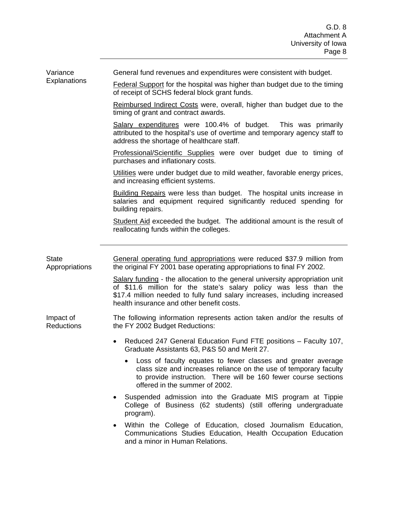Variance **Explanations**  General fund revenues and expenditures were consistent with budget.

Federal Support for the hospital was higher than budget due to the timing of receipt of SCHS federal block grant funds.

Reimbursed Indirect Costs were, overall, higher than budget due to the timing of grant and contract awards.

Salary expenditures were 100.4% of budget. This was primarily attributed to the hospital's use of overtime and temporary agency staff to address the shortage of healthcare staff.

Professional/Scientific Supplies were over budget due to timing of purchases and inflationary costs.

Utilities were under budget due to mild weather, favorable energy prices, and increasing efficient systems.

Building Repairs were less than budget. The hospital units increase in salaries and equipment required significantly reduced spending for building repairs.

Student Aid exceeded the budget. The additional amount is the result of reallocating funds within the colleges.

| <b>State</b><br>Appropriations | General operating fund appropriations were reduced \$37.9 million from<br>the original FY 2001 base operating appropriations to final FY 2002.                                                                                                                              |  |  |  |  |
|--------------------------------|-----------------------------------------------------------------------------------------------------------------------------------------------------------------------------------------------------------------------------------------------------------------------------|--|--|--|--|
|                                | Salary funding - the allocation to the general university appropriation unit<br>of \$11.6 million for the state's salary policy was less than the<br>\$17.4 million needed to fully fund salary increases, including increased<br>health insurance and other benefit costs. |  |  |  |  |
| Impact of<br><b>Reductions</b> | The following information represents action taken and/or the results of<br>the FY 2002 Budget Reductions:                                                                                                                                                                   |  |  |  |  |
|                                | Reduced 247 General Education Fund FTE positions - Faculty 107,<br>$\bullet$<br>Graduate Assistants 63, P&S 50 and Merit 27.                                                                                                                                                |  |  |  |  |
|                                | Loss of faculty equates to fewer classes and greater average<br>$\bullet$<br>class size and increases reliance on the use of temporary faculty<br>to provide instruction. There will be 160 fewer course sections<br>offered in the summer of 2002.                         |  |  |  |  |
|                                | Suspended admission into the Graduate MIS program at Tippie<br>College of Business (62 students) (still offering undergraduate<br>program).                                                                                                                                 |  |  |  |  |
|                                | • Within the College of Education, closed Journalism Education,<br>Communications Studies Education, Health Occupation Education<br>and a minor in Human Relations.                                                                                                         |  |  |  |  |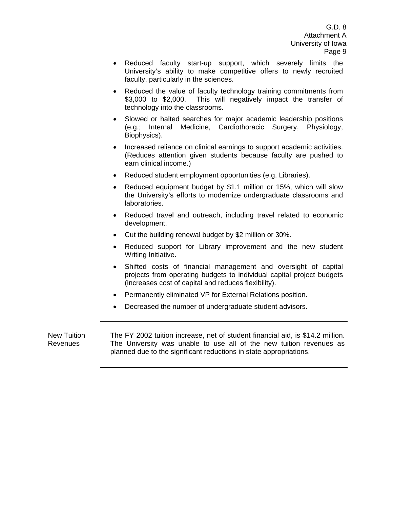G.D. 8 Attachment A University of Iowa Page 9

- Reduced faculty start-up support, which severely limits the University's ability to make competitive offers to newly recruited faculty, particularly in the sciences.
- Reduced the value of faculty technology training commitments from \$3,000 to \$2,000. This will negatively impact the transfer of technology into the classrooms.
- Slowed or halted searches for major academic leadership positions (e.g.; Internal Medicine, Cardiothoracic Surgery, Physiology, Biophysics).
- Increased reliance on clinical earnings to support academic activities. (Reduces attention given students because faculty are pushed to earn clinical income.)
- Reduced student employment opportunities (e.g. Libraries).
- Reduced equipment budget by \$1.1 million or 15%, which will slow the University's efforts to modernize undergraduate classrooms and laboratories.
- Reduced travel and outreach, including travel related to economic development.
- Cut the building renewal budget by \$2 million or 30%.
- Reduced support for Library improvement and the new student Writing Initiative.
- Shifted costs of financial management and oversight of capital projects from operating budgets to individual capital project budgets (increases cost of capital and reduces flexibility).
- Permanently eliminated VP for External Relations position.
- Decreased the number of undergraduate student advisors.

New Tuition Revenues The FY 2002 tuition increase, net of student financial aid, is \$14.2 million. The University was unable to use all of the new tuition revenues as planned due to the significant reductions in state appropriations.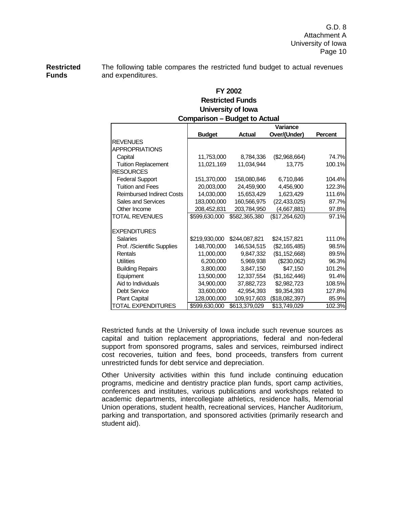**Restricted Funds**  The following table compares the restricted fund budget to actual revenues and expenditures.

# **University of Iowa Comparison – Budget to Actual Restricted Funds FY 2002**

| Comparison – Budget to Actual    |               |               |                |                |  |  |  |
|----------------------------------|---------------|---------------|----------------|----------------|--|--|--|
|                                  |               |               | Variance       |                |  |  |  |
|                                  | <b>Budget</b> | <b>Actual</b> | Over/(Under)   | <b>Percent</b> |  |  |  |
| <b>REVENUES</b>                  |               |               |                |                |  |  |  |
| <b>APPROPRIATIONS</b>            |               |               |                |                |  |  |  |
| Capital                          | 11,753,000    | 8,784,336     | (\$2,968,664)  | 74.7%          |  |  |  |
| <b>Tuition Replacement</b>       | 11,021,169    | 11,034,944    | 13,775         | 100.1%         |  |  |  |
| <b>RESOURCES</b>                 |               |               |                |                |  |  |  |
| <b>Federal Support</b>           | 151,370,000   | 158,080,846   | 6,710,846      | 104.4%         |  |  |  |
| <b>Tuition and Fees</b>          | 20,003,000    | 24,459,900    | 4,456,900      | 122.3%         |  |  |  |
| <b>Reimbursed Indirect Costs</b> | 14,030,000    | 15,653,429    | 1,623,429      | 111.6%         |  |  |  |
| Sales and Services               | 183,000,000   | 160,566,975   | (22, 433, 025) | 87.7%          |  |  |  |
| Other Income                     | 208,452,831   | 203,784,950   | (4,667,881)    | 97.8%          |  |  |  |
| <b>TOTAL REVENUES</b>            | \$599,630,000 | \$582,365,380 | (\$17,264,620) | 97.1%          |  |  |  |
|                                  |               |               |                |                |  |  |  |
| <b>EXPENDITURES</b>              |               |               |                |                |  |  |  |
| <b>Salaries</b>                  | \$219,930,000 | \$244,087,821 | \$24,157,821   | 111.0%         |  |  |  |
| Prof. /Scientific Supplies       | 148,700,000   | 146,534,515   | (\$2,165,485)  | 98.5%          |  |  |  |
| Rentals                          | 11,000,000    | 9,847,332     | (\$1,152,668)  | 89.5%          |  |  |  |
| <b>Utilities</b>                 | 6,200,000     | 5,969,938     | (\$230,062)    | 96.3%          |  |  |  |
| <b>Building Repairs</b>          | 3,800,000     | 3,847,150     | \$47,150       | 101.2%         |  |  |  |
| Equipment                        | 13,500,000    | 12,337,554    | (\$1,162,446)  | 91.4%          |  |  |  |
| Aid to Individuals               | 34,900,000    | 37,882,723    | \$2,982,723    | 108.5%         |  |  |  |
| <b>Debt Service</b>              | 33,600,000    | 42,954,393    | \$9,354,393    | 127.8%         |  |  |  |
| <b>Plant Capital</b>             | 128,000,000   | 109,917,603   | (\$18,082,397) | 85.9%          |  |  |  |
| <b>TOTAL EXPENDITURES</b>        | \$599,630,000 | \$613,379,029 | \$13,749,029   | 102.3%         |  |  |  |

Restricted funds at the University of Iowa include such revenue sources as capital and tuition replacement appropriations, federal and non-federal support from sponsored programs, sales and services, reimbursed indirect cost recoveries, tuition and fees, bond proceeds, transfers from current unrestricted funds for debt service and depreciation.

Other University activities within this fund include continuing education programs, medicine and dentistry practice plan funds, sport camp activities, conferences and institutes, various publications and workshops related to academic departments, intercollegiate athletics, residence halls, Memorial Union operations, student health, recreational services, Hancher Auditorium, parking and transportation, and sponsored activities (primarily research and student aid).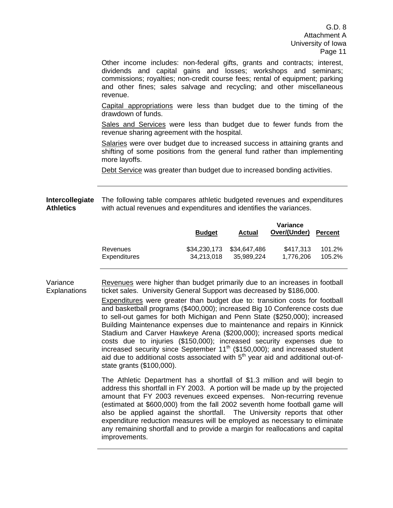G.D. 8 Attachment A University of Iowa Page 11

Other income includes: non-federal gifts, grants and contracts; interest, dividends and capital gains and losses; workshops and seminars; commissions; royalties; non-credit course fees; rental of equipment; parking and other fines; sales salvage and recycling; and other miscellaneous revenue.

Capital appropriations were less than budget due to the timing of the drawdown of funds.

Sales and Services were less than budget due to fewer funds from the revenue sharing agreement with the hospital.

Salaries were over budget due to increased success in attaining grants and shifting of some positions from the general fund rather than implementing more layoffs.

Debt Service was greater than budget due to increased bonding activities.

**Intercollegiate**  The following table compares athletic budgeted revenues and expenditures **Athletics**  with actual revenues and expenditures and identifies the variances.

|                     | <b>Budget</b> | Actual       | Variance<br>Over/(Under) | <b>Percent</b> |
|---------------------|---------------|--------------|--------------------------|----------------|
| Revenues            | \$34,230,173  | \$34,647,486 | \$417.313                | 101.2%         |
| <b>Expenditures</b> | 34.213.018    | 35.989.224   | 1.776.206                | 105.2%         |

Variance **Explanations** Revenues were higher than budget primarily due to an increases in football ticket sales. University General Support was decreased by \$186,000.

> Expenditures were greater than budget due to: transition costs for football and basketball programs (\$400,000); increased Big 10 Conference costs due to sell-out games for both Michigan and Penn State (\$250,000); increased Building Maintenance expenses due to maintenance and repairs in Kinnick Stadium and Carver Hawkeye Arena (\$200,000); increased sports medical costs due to injuries (\$150,000); increased security expenses due to increased security since September 11<sup>th</sup> (\$150,000); and increased student aid due to additional costs associated with  $5<sup>th</sup>$  year aid and additional out-ofstate grants (\$100,000).

> The Athletic Department has a shortfall of \$1.3 million and will begin to address this shortfall in FY 2003. A portion will be made up by the projected amount that FY 2003 revenues exceed expenses. Non-recurring revenue (estimated at \$600,000) from the fall 2002 seventh home football game will also be applied against the shortfall. The University reports that other expenditure reduction measures will be employed as necessary to eliminate any remaining shortfall and to provide a margin for reallocations and capital improvements.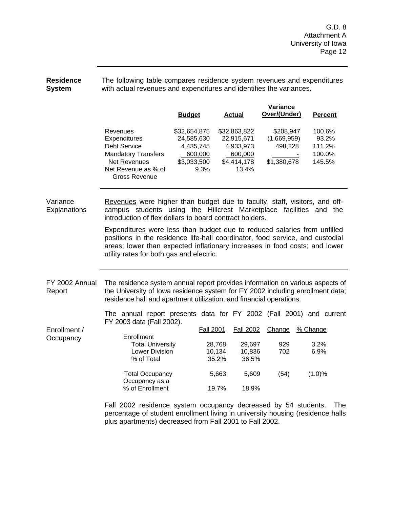#### **Residence System**  The following table compares residence system revenues and expenditures with actual revenues and expenditures and identifies the variances.

|                          |                                                                                                                                                                                                                                                                                            |                                                        |                  |       |                                                                            |                  | Variance                                           |                                      |       |
|--------------------------|--------------------------------------------------------------------------------------------------------------------------------------------------------------------------------------------------------------------------------------------------------------------------------------------|--------------------------------------------------------|------------------|-------|----------------------------------------------------------------------------|------------------|----------------------------------------------------|--------------------------------------|-------|
|                          |                                                                                                                                                                                                                                                                                            | <b>Budget</b>                                          |                  |       | <b>Actual</b>                                                              |                  | Over/(Under)                                       | <b>Percent</b>                       |       |
|                          | Revenues<br>Expenditures<br><b>Debt Service</b><br><b>Mandatory Transfers</b><br><b>Net Revenues</b><br>Net Revenue as % of<br><b>Gross Revenue</b>                                                                                                                                        | \$32,654,875<br>24,585,630<br>4,435,745<br>\$3,033,500 | 600,000<br>9.3%  |       | \$32,863,822<br>22,915,671<br>4,933,973<br>600,000<br>\$4,414,178<br>13.4% |                  | \$208,947<br>(1,669,959)<br>498,228<br>\$1,380,678 | 100.6%<br>111.2%<br>100.0%<br>145.5% | 93.2% |
| Variance<br>Explanations | Revenues were higher than budget due to faculty, staff, visitors, and off-<br>campus students using the Hillcrest Marketplace facilities and the<br>introduction of flex dollars to board contract holders.                                                                                |                                                        |                  |       |                                                                            |                  |                                                    |                                      |       |
|                          | <b>Expenditures</b> were less than budget due to reduced salaries from unfilled<br>positions in the residence life-hall coordinator, food service, and custodial<br>areas; lower than expected inflationary increases in food costs; and lower<br>utility rates for both gas and electric. |                                                        |                  |       |                                                                            |                  |                                                    |                                      |       |
| FY 2002 Annual<br>Report | The residence system annual report provides information on various aspects of<br>the University of Iowa residence system for FY 2002 including enrollment data;<br>residence hall and apartment utilization; and financial operations.                                                     |                                                        |                  |       |                                                                            |                  |                                                    |                                      |       |
|                          | The annual report presents data for FY 2002 (Fall 2001) and current<br>FY 2003 data (Fall 2002).                                                                                                                                                                                           |                                                        |                  |       |                                                                            |                  |                                                    |                                      |       |
| Enrollment /             |                                                                                                                                                                                                                                                                                            |                                                        | <b>Fall 2001</b> |       | <b>Fall 2002</b>                                                           |                  | Change                                             | % Change                             |       |
| Occupancy                | Enrollment                                                                                                                                                                                                                                                                                 |                                                        |                  |       |                                                                            |                  |                                                    | 3.2%                                 |       |
|                          | <b>Total University</b><br><b>Lower Division</b>                                                                                                                                                                                                                                           |                                                        | 28,768<br>10,134 |       |                                                                            | 29,697<br>10,836 | 929<br>702                                         | 6.9%                                 |       |
|                          | % of Total                                                                                                                                                                                                                                                                                 |                                                        |                  | 35.2% |                                                                            | 36.5%            |                                                    |                                      |       |
|                          | <b>Total Occupancy</b><br>Occupancy as a                                                                                                                                                                                                                                                   |                                                        |                  | 5,663 |                                                                            | 5,609            | (54)                                               | (1.0)%                               |       |
|                          | % of Enrollment                                                                                                                                                                                                                                                                            |                                                        |                  | 19.7% |                                                                            | 18.9%            |                                                    |                                      |       |
|                          |                                                                                                                                                                                                                                                                                            |                                                        |                  |       |                                                                            |                  |                                                    |                                      |       |

Fall 2002 residence system occupancy decreased by 54 students. The percentage of student enrollment living in university housing (residence halls plus apartments) decreased from Fall 2001 to Fall 2002.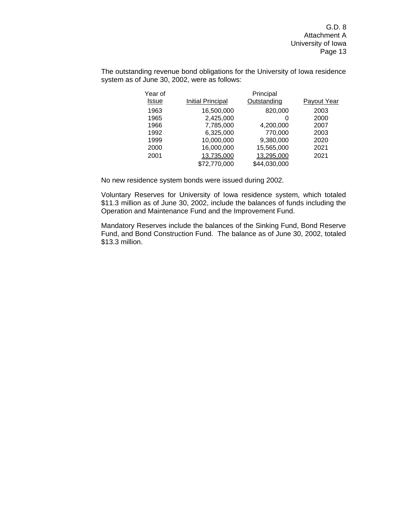G.D. 8 Attachment A University of Iowa Page 13

The outstanding revenue bond obligations for the University of Iowa residence system as of June 30, 2002, were as follows:

| Year of |                   | Principal    |             |
|---------|-------------------|--------------|-------------|
| Issue   | Initial Principal | Outstanding  | Payout Year |
| 1963    | 16,500,000        | 820,000      | 2003        |
| 1965    | 2,425,000         | 0            | 2000        |
| 1966    | 7,785,000         | 4,200,000    | 2007        |
| 1992    | 6,325,000         | 770,000      | 2003        |
| 1999    | 10,000,000        | 9,380,000    | 2020        |
| 2000    | 16,000,000        | 15,565,000   | 2021        |
| 2001    | 13,735,000        | 13,295,000   | 2021        |
|         | \$72,770,000      | \$44,030,000 |             |

No new residence system bonds were issued during 2002.

Voluntary Reserves for University of Iowa residence system, which totaled \$11.3 million as of June 30, 2002, include the balances of funds including the Operation and Maintenance Fund and the Improvement Fund.

Mandatory Reserves include the balances of the Sinking Fund, Bond Reserve Fund, and Bond Construction Fund. The balance as of June 30, 2002, totaled \$13.3 million.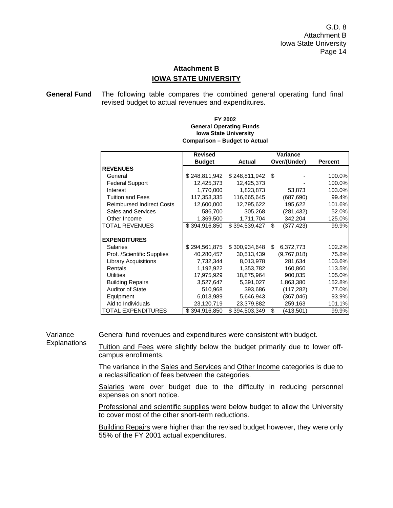# **Attachment B IOWA STATE UNIVERSITY**

**General Fund** The following table compares the combined general operating fund final revised budget to actual revenues and expenditures.

|                                  | <b>Revised</b> |               | <b>Variance</b>  |                |
|----------------------------------|----------------|---------------|------------------|----------------|
|                                  | <b>Budget</b>  | <b>Actual</b> | Over/(Under)     | <b>Percent</b> |
| <b>REVENUES</b>                  |                |               |                  |                |
| General                          | \$248,811,942  | \$248,811,942 | \$               | 100.0%         |
| <b>Federal Support</b>           | 12,425,373     | 12,425,373    |                  | 100.0%         |
| Interest                         | 1,770,000      | 1,823,873     | 53,873           | 103.0%         |
| Tuition and Fees                 | 117,353,335    | 116,665,645   | (687, 690)       | 99.4%          |
| <b>Reimbursed Indirect Costs</b> | 12,600,000     | 12,795,622    | 195,622          | 101.6%         |
| <b>Sales and Services</b>        | 586,700        | 305,268       | (281, 432)       | 52.0%          |
| Other Income                     | 1,369,500      | 1,711,704     | 342,204          | 125.0%         |
| <b>TOTAL REVENUES</b>            | \$394,916,850  | \$394,539,427 | \$<br>(377, 423) | 99.9%          |
| <b>EXPENDITURES</b>              |                |               |                  |                |
| <b>Salaries</b>                  | \$294,561,875  | \$300,934,648 | \$<br>6,372,773  | 102.2%         |
| Prof. /Scientific Supplies       | 40,280,457     | 30,513,439    | (9,767,018)      | 75.8%          |
| <b>Library Acquisitions</b>      | 7,732,344      | 8,013,978     | 281,634          | 103.6%         |
| Rentals                          | 1,192,922      | 1,353,782     | 160,860          | 113.5%         |
| <b>Utilities</b>                 | 17,975,929     | 18,875,964    | 900,035          | 105.0%         |
| <b>Building Repairs</b>          | 3,527,647      | 5,391,027     | 1,863,380        | 152.8%         |
| <b>Auditor of State</b>          | 510,968        | 393,686       | (117, 282)       | 77.0%          |
| Equipment                        | 6,013,989      | 5,646,943     | (367,046)        | 93.9%          |
| Aid to Individuals               | 23,120,719     | 23,379,882    | 259,163          | 101.1%         |
| TOTAL EXPENDITURES               | \$394,916,850  | \$394,503,349 | \$<br>(413,501)  | 99.9%          |

#### **FY 2002 General Operating Funds Iowa State University Comparison – Budget to Actual**

Variance **Explanations** 

General fund revenues and expenditures were consistent with budget.

Tuition and Fees were slightly below the budget primarily due to lower offcampus enrollments.

The variance in the Sales and Services and Other Income categories is due to a reclassification of fees between the categories.

Salaries were over budget due to the difficulty in reducing personnel expenses on short notice.

Professional and scientific supplies were below budget to allow the University to cover most of the other short-term reductions.

Building Repairs were higher than the revised budget however, they were only 55% of the FY 2001 actual expenditures.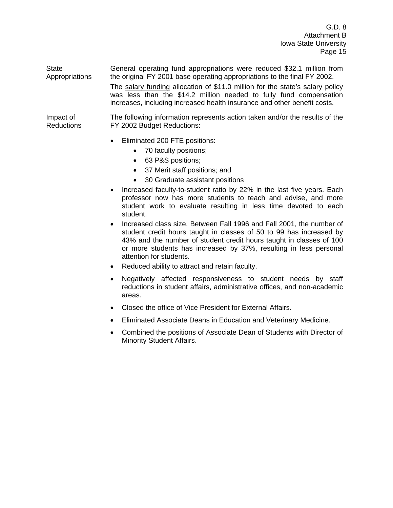**State** Appropriations General operating fund appropriations were reduced \$32.1 million from the original FY 2001 base operating appropriations to the final FY 2002. The salary funding allocation of \$11.0 million for the state's salary policy was less than the \$14.2 million needed to fully fund compensation increases, including increased health insurance and other benefit costs.

Impact of Reductions The following information represents action taken and/or the results of the FY 2002 Budget Reductions:

- Eliminated 200 FTE positions:
	- 70 faculty positions;
	- 63 P&S positions;
	- 37 Merit staff positions; and
	- 30 Graduate assistant positions
- Increased faculty-to-student ratio by 22% in the last five years. Each professor now has more students to teach and advise, and more student work to evaluate resulting in less time devoted to each student.
- Increased class size. Between Fall 1996 and Fall 2001, the number of student credit hours taught in classes of 50 to 99 has increased by 43% and the number of student credit hours taught in classes of 100 or more students has increased by 37%, resulting in less personal attention for students.
- Reduced ability to attract and retain faculty.
- Negatively affected responsiveness to student needs by staff reductions in student affairs, administrative offices, and non-academic areas.
- Closed the office of Vice President for External Affairs.
- Eliminated Associate Deans in Education and Veterinary Medicine.
- Combined the positions of Associate Dean of Students with Director of Minority Student Affairs.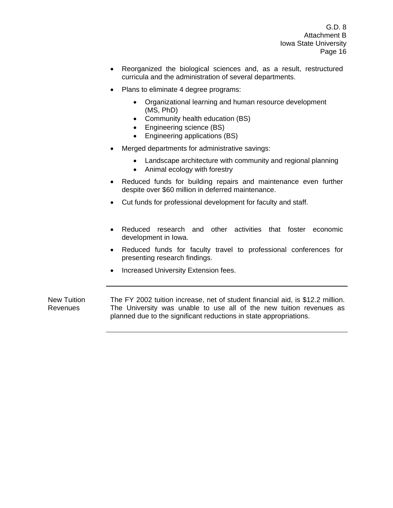- Reorganized the biological sciences and, as a result, restructured curricula and the administration of several departments.
- Plans to eliminate 4 degree programs:
	- Organizational learning and human resource development (MS, PhD)
	- Community health education (BS)
	- Engineering science (BS)
	- Engineering applications (BS)
- Merged departments for administrative savings:
	- Landscape architecture with community and regional planning
	- Animal ecology with forestry
- Reduced funds for building repairs and maintenance even further despite over \$60 million in deferred maintenance.
- Cut funds for professional development for faculty and staff.
- Reduced research and other activities that foster economic development in Iowa.
- Reduced funds for faculty travel to professional conferences for presenting research findings.
- Increased University Extension fees.

New Tuition Revenues The FY 2002 tuition increase, net of student financial aid, is \$12.2 million. The University was unable to use all of the new tuition revenues as planned due to the significant reductions in state appropriations.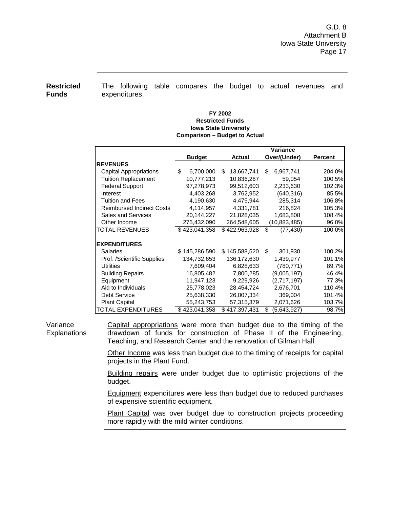**Restricted Funds** 

The following table compares the budget to actual revenues and expenditures.

#### **Iowa State University Comparison – Budget to Actual FY 2002 Restricted Funds**

|                                  |                 |                  | Variance          |                |
|----------------------------------|-----------------|------------------|-------------------|----------------|
|                                  | <b>Budget</b>   | <b>Actual</b>    | Over/(Under)      | <b>Percent</b> |
| <b>REVENUES</b>                  |                 |                  |                   |                |
| Capital Appropriations           | \$<br>6,700,000 | \$<br>13,667,741 | \$.<br>6,967,741  | 204.0%         |
| <b>Tuition Replacement</b>       | 10,777,213      | 10,836,267       | 59,054            | 100.5%         |
| <b>Federal Support</b>           | 97,278,973      | 99,512,603       | 2,233,630         | 102.3%         |
| Interest                         | 4,403,268       | 3,762,952        | (640, 316)        | 85.5%          |
| <b>Tuition and Fees</b>          | 4,190,630       | 4,475,944        | 285,314           | 106.8%         |
| <b>Reimbursed Indirect Costs</b> | 4,114,957       | 4,331,781        | 216,824           | 105.3%         |
| <b>Sales and Services</b>        | 20,144,227      | 21,828,035       | 1,683,808         | 108.4%         |
| Other Income                     | 275,432,090     | 264,548,605      | (10,883,485)      | 96.0%          |
| <b>TOTAL REVENUES</b>            | \$423,041,358   | \$422,963,928    | \$<br>(77, 430)   | 100.0%         |
|                                  |                 |                  |                   |                |
| <b>EXPENDITURES</b>              |                 |                  |                   |                |
| <b>Salaries</b>                  | \$145,286,590   | \$145,588,520    | \$<br>301,930     | 100.2%         |
| Prof. /Scientific Supplies       | 134,732,653     | 136,172,630      | 1,439,977         | 101.1%         |
| <b>Utilities</b>                 | 7,609,404       | 6,828,633        | (780, 771)        | 89.7%          |
| <b>Building Repairs</b>          | 16,805,482      | 7,800,285        | (9,005,197)       | 46.4%          |
| Equipment                        | 11,947,123      | 9,229,926        | (2,717,197)       | 77.3%          |
| Aid to Individuals               | 25,778,023      | 28,454,724       | 2,676,701         | 110.4%         |
| Debt Service                     | 25,638,330      | 26,007,334       | 369,004           | 101.4%         |
| <b>Plant Capital</b>             | 55,243,753      | 57,315,379       | 2,071,626         | 103.7%         |
| TOTAL EXPENDITURES               | \$423,041,358   | \$417,397,431    | (5,643,927)<br>\$ | 98.7%          |

Variance **Explanations**  Capital appropriations were more than budget due to the timing of the drawdown of funds for construction of Phase II of the Engineering, Teaching, and Research Center and the renovation of Gilman Hall.

Other Income was less than budget due to the timing of receipts for capital projects in the Plant Fund.

Building repairs were under budget due to optimistic projections of the budget.

**Equipment expenditures were less than budget due to reduced purchases** of expensive scientific equipment.

Plant Capital was over budget due to construction projects proceeding more rapidly with the mild winter conditions.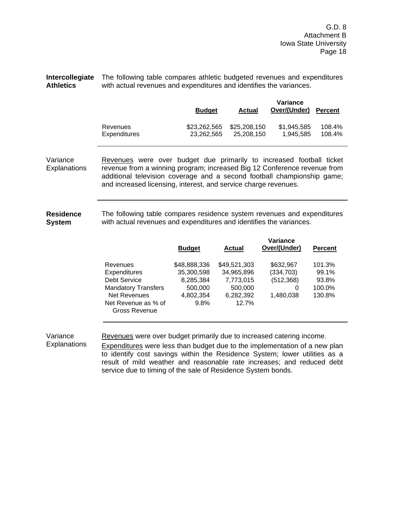G.D. 8 Attachment B Iowa State University Page 18

**Intercollegiate**  The following table compares athletic budgeted revenues and expenditures **Athletics**  with actual revenues and expenditures and identifies the variances.

|              | <b>Budget</b> | <b>Actual</b> | Variance<br>Over/(Under) | <b>Percent</b> |
|--------------|---------------|---------------|--------------------------|----------------|
| Revenues     | \$23,262,565  | \$25,208,150  | \$1.945.585              | 108.4%         |
| Expenditures | 23.262.565    | 25.208.150    | 1.945.585                | 108.4%         |

Variance **Explanations** Revenues were over budget due primarily to increased football ticket revenue from a winning program; increased Big 12 Conference revenue from additional television coverage and a second football championship game; and increased licensing, interest, and service charge revenues.

**Residence System**  The following table compares residence system revenues and expenditures with actual revenues and expenditures and identifies the variances.

|                                      | <b>Budget</b> | Actual       | Variance<br>Over/(Under) | <b>Percent</b> |
|--------------------------------------|---------------|--------------|--------------------------|----------------|
| Revenues                             | \$48,888,336  | \$49,521,303 | \$632,967                | 101.3%         |
| Expenditures                         | 35,300,598    | 34,965,896   | (334, 703)               | 99.1%          |
| Debt Service                         | 8,285,384     | 7,773,015    | (512, 368)               | 93.8%          |
| <b>Mandatory Transfers</b>           | 500,000       | 500,000      | 0                        | 100.0%         |
| <b>Net Revenues</b>                  | 4,802,354     | 6,282,392    | 1.480.038                | 130.8%         |
| Net Revenue as % of<br>Gross Revenue | 9.8%          | 12.7%        |                          |                |

Variance **Explanations** 

Revenues were over budget primarily due to increased catering income.

**Expenditures** were less than budget due to the implementation of a new plan to identify cost savings within the Residence System; lower utilities as a result of mild weather and reasonable rate increases; and reduced debt service due to timing of the sale of Residence System bonds.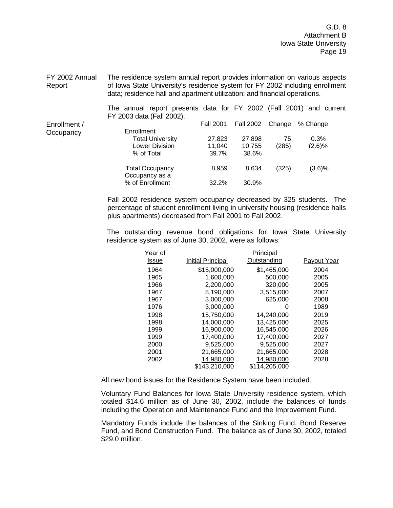G.D. 8 Attachment B Iowa State University Page 19

FY 2002 Annual Report The residence system annual report provides information on various aspects of Iowa State University's residence system for FY 2002 including enrollment data; residence hall and apartment utilization; and financial operations.

The annual report presents data for FY 2002 (Fall 2001) and current FY 2003 data (Fall 2002). Enrollment / **Occupancy**  Fall 2001 Fall 2002 Change % Change Enrollment Total University 27,823 27,898 75 0.3% Lower Division 11,040 10,755 (285) (2.6)% % of Total 39.7% 38.6% Total Occupancy 8,959 8,634 (325) (3.6)% Occupancy as a % of Enrollment 32.2% 30.9%

> Fall 2002 residence system occupancy decreased by 325 students. The percentage of student enrollment living in university housing (residence halls plus apartments) decreased from Fall 2001 to Fall 2002.

> The outstanding revenue bond obligations for Iowa State University residence system as of June 30, 2002, were as follows:

| Year of |                   | Principal     |             |
|---------|-------------------|---------------|-------------|
| Issue   | Initial Principal | Outstanding   | Payout Year |
| 1964    | \$15,000,000      | \$1,465,000   | 2004        |
| 1965    | 1,600,000         | 500,000       | 2005        |
| 1966    | 2,200,000         | 320,000       | 2005        |
| 1967    | 8,190,000         | 3,515,000     | 2007        |
| 1967    | 3,000,000         | 625.000       | 2008        |
| 1976    | 3.000.000         | O             | 1989        |
| 1998    | 15,750,000        | 14,240,000    | 2019        |
| 1998    | 14,000,000        | 13,425,000    | 2025        |
| 1999    | 16,900,000        | 16,545,000    | 2026        |
| 1999    | 17,400,000        | 17,400,000    | 2027        |
| 2000    | 9.525.000         | 9.525.000     | 2027        |
| 2001    | 21,665,000        | 21,665,000    | 2028        |
| 2002    | 14,980,000        | 14.980.000    | 2028        |
|         | \$143,210,000     | \$114.205.000 |             |
|         |                   |               |             |

All new bond issues for the Residence System have been included.

Voluntary Fund Balances for Iowa State University residence system, which totaled \$14.6 million as of June 30, 2002, include the balances of funds including the Operation and Maintenance Fund and the Improvement Fund.

Mandatory Funds include the balances of the Sinking Fund, Bond Reserve Fund, and Bond Construction Fund. The balance as of June 30, 2002, totaled \$29.0 million.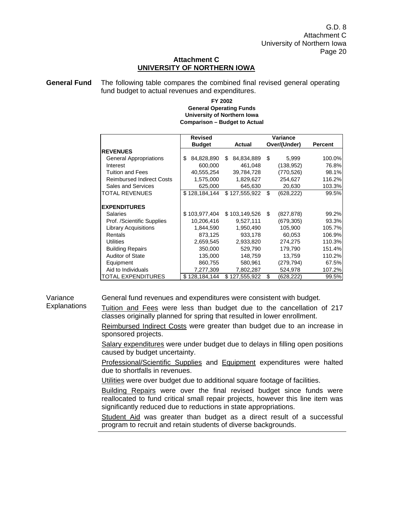# **Attachment C UNIVERSITY OF NORTHERN IOWA**

**General Fund** The following table compares the combined final revised general operating fund budget to actual revenues and expenditures.

#### **University of Northern Iowa Comparison – Budget to Actual FY 2002 General Operating Funds**

|                                  | <b>Revised</b>   |                  | Variance         |                |
|----------------------------------|------------------|------------------|------------------|----------------|
|                                  | <b>Budget</b>    | <b>Actual</b>    | Over/(Under)     | <b>Percent</b> |
| <b>REVENUES</b>                  |                  |                  |                  |                |
| <b>General Appropriations</b>    | \$<br>84,828,890 | \$<br>84,834,889 | \$<br>5,999      | 100.0%         |
| Interest                         | 600,000          | 461,048          | (138, 952)       | 76.8%          |
| <b>Tuition and Fees</b>          | 40,555,254       | 39,784,728       | (770,526)        | 98.1%          |
| <b>Reimbursed Indirect Costs</b> | 1,575,000        | 1,829,627        | 254,627          | 116.2%         |
| <b>Sales and Services</b>        | 625,000          | 645,630          | 20,630           | 103.3%         |
| TOTAL REVENUES                   | \$128,184,144    | \$127,555,922    | \$<br>(628, 222) | 99.5%          |
|                                  |                  |                  |                  |                |
| <b>EXPENDITURES</b>              |                  |                  |                  |                |
| <b>Salaries</b>                  | \$103,977,404    | \$103,149,526    | \$<br>(827, 878) | 99.2%          |
| Prof. /Scientific Supplies       | 10,206,416       | 9,527,111        | (679, 305)       | 93.3%          |
| <b>Library Acquisitions</b>      | 1,844,590        | 1,950,490        | 105,900          | 105.7%         |
| Rentals                          | 873,125          | 933,178          | 60,053           | 106.9%         |
| <b>Utilities</b>                 | 2,659,545        | 2,933,820        | 274,275          | 110.3%         |
| <b>Building Repairs</b>          | 350,000          | 529,790          | 179,790          | 151.4%         |
| Auditor of State                 | 135,000          | 148,759          | 13,759           | 110.2%         |
| Equipment                        | 860,755          | 580,961          | (279,794)        | 67.5%          |
| Aid to Individuals               | 7,277,309        | 7,802,287        | 524,978          | 107.2%         |
| TOTAL EXPENDITURES               | \$128,184,144    | \$127,555,922    | \$<br>(628,222)  | 99.5%          |

## Variance **Explanations**

General fund revenues and expenditures were consistent with budget.

Tuition and Fees were less than budget due to the cancellation of 217

classes originally planned for spring that resulted in lower enrollment. Reimbursed Indirect Costs were greater than budget due to an increase in sponsored projects.

Salary expenditures were under budget due to delays in filling open positions caused by budget uncertainty.

Professional/Scientific Supplies and Equipment expenditures were halted due to shortfalls in revenues.

Utilities were over budget due to additional square footage of facilities.

Building Repairs were over the final revised budget since funds were reallocated to fund critical small repair projects, however this line item was significantly reduced due to reductions in state appropriations.

Student Aid was greater than budget as a direct result of a successful program to recruit and retain students of diverse backgrounds.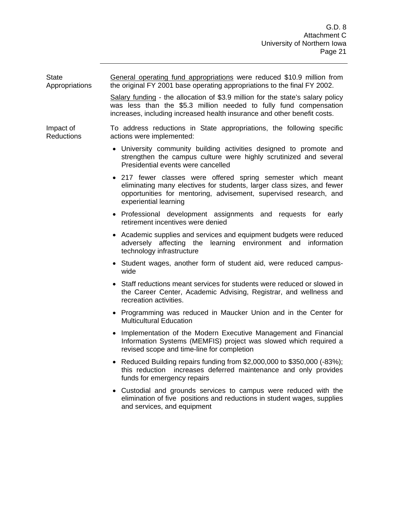**State** Appropriations General operating fund appropriations were reduced \$10.9 million from the original FY 2001 base operating appropriations to the final FY 2002. Salary funding - the allocation of \$3.9 million for the state's salary policy was less than the \$5.3 million needed to fully fund compensation increases, including increased health insurance and other benefit costs. Impact of Reductions To address reductions in State appropriations, the following specific actions were implemented: • University community building activities designed to promote and strengthen the campus culture were highly scrutinized and several Presidential events were cancelled • 217 fewer classes were offered spring semester which meant eliminating many electives for students, larger class sizes, and fewer opportunities for mentoring, advisement, supervised research, and experiential learning • Professional development assignments and requests for early retirement incentives were denied • Academic supplies and services and equipment budgets were reduced adversely affecting the learning environment and information technology infrastructure • Student wages, another form of student aid, were reduced campuswide • Staff reductions meant services for students were reduced or slowed in the Career Center, Academic Advising, Registrar, and wellness and recreation activities. • Programming was reduced in Maucker Union and in the Center for Multicultural Education • Implementation of the Modern Executive Management and Financial Information Systems (MEMFIS) project was slowed which required a revised scope and time-line for completion • Reduced Building repairs funding from \$2,000,000 to \$350,000 (-83%); this reduction increases deferred maintenance and only provides funds for emergency repairs

• Custodial and grounds services to campus were reduced with the elimination of five positions and reductions in student wages, supplies and services, and equipment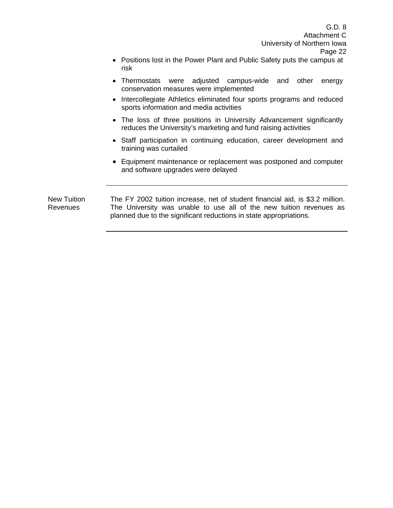- Positions lost in the Power Plant and Public Safety puts the campus at risk
- Thermostats were adjusted campus-wide and other energy conservation measures were implemented
- Intercollegiate Athletics eliminated four sports programs and reduced sports information and media activities
- The loss of three positions in University Advancement significantly reduces the University's marketing and fund raising activities
- Staff participation in continuing education, career development and training was curtailed
- Equipment maintenance or replacement was postponed and computer and software upgrades were delayed

New Tuition Revenues The FY 2002 tuition increase, net of student financial aid, is \$3.2 million. The University was unable to use all of the new tuition revenues as planned due to the significant reductions in state appropriations.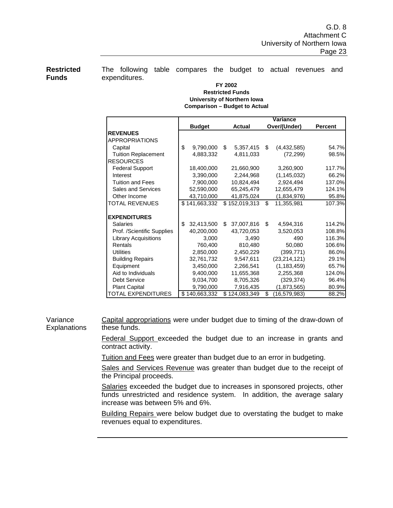**Restricted Funds** 

The following table compares the budget to actual revenues and expenditures.

#### **University of Northern Iowa Comparison – Budget to Actual FY 2002 Restricted Funds**

|                             |                  |                  | Variance             |                |
|-----------------------------|------------------|------------------|----------------------|----------------|
|                             | <b>Budget</b>    | <b>Actual</b>    | Over/(Under)         | <b>Percent</b> |
| <b>REVENUES</b>             |                  |                  |                      |                |
| APPROPRIATIONS              |                  |                  |                      |                |
| Capital                     | \$<br>9,790,000  | \$<br>5,357,415  | \$<br>(4,432,585)    | 54.7%          |
| <b>Tuition Replacement</b>  | 4,883,332        | 4,811,033        | (72, 299)            | 98.5%          |
| <b>RESOURCES</b>            |                  |                  |                      |                |
| <b>Federal Support</b>      | 18,400,000       | 21,660,900       | 3,260,900            | 117.7%         |
| Interest                    | 3,390,000        | 2,244,968        | (1, 145, 032)        | 66.2%          |
| <b>Tuition and Fees</b>     | 7,900,000        | 10,824,494       | 2,924,494            | 137.0%         |
| <b>Sales and Services</b>   | 52,590,000       | 65,245,479       | 12,655,479           | 124.1%         |
| Other Income                | 43,710,000       | 41,875,024       | (1,834,976)          | 95.8%          |
| <b>TOTAL REVENUES</b>       | \$141,663,332    | \$152,019,313    | \$<br>11,355,981     | 107.3%         |
|                             |                  |                  |                      |                |
| <b>EXPENDITURES</b>         |                  |                  |                      |                |
| <b>Salaries</b>             | \$<br>32,413,500 | \$<br>37,007,816 | \$<br>4,594,316      | 114.2%         |
| Prof. /Scientific Supplies  | 40,200,000       | 43,720,053       | 3,520,053            | 108.8%         |
| <b>Library Acquisitions</b> | 3,000            | 3,490            | 490                  | 116.3%         |
| Rentals                     | 760,400          | 810,480          | 50,080               | 106.6%         |
| <b>Utilities</b>            | 2,850,000        | 2,450,229        | (399, 771)           | 86.0%          |
| <b>Building Repairs</b>     | 32,761,732       | 9,547,611        | (23, 214, 121)       | 29.1%          |
| Equipment                   | 3,450,000        | 2,266,541        | (1, 183, 459)        | 65.7%          |
| Aid to Individuals          | 9,400,000        | 11,655,368       | 2,255,368            | 124.0%         |
| <b>Debt Service</b>         | 9,034,700        | 8,705,326        | (329, 374)           | 96.4%          |
| <b>Plant Capital</b>        | 9,790,000        | 7,916,435        | (1,873,565)          | 80.9%          |
| <b>TOTAL EXPENDITURES</b>   | \$140,663,332    | \$124,083,349    | \$<br>(16, 579, 983) | 88.2%          |

Variance **Explanations** Capital appropriations were under budget due to timing of the draw-down of these funds.

> Federal Support exceeded the budget due to an increase in grants and contract activity.

Tuition and Fees were greater than budget due to an error in budgeting.

Sales and Services Revenue was greater than budget due to the receipt of the Principal proceeds.

Salaries exceeded the budget due to increases in sponsored projects, other funds unrestricted and residence system. In addition, the average salary increase was between 5% and 6%.

Building Repairs were below budget due to overstating the budget to make revenues equal to expenditures.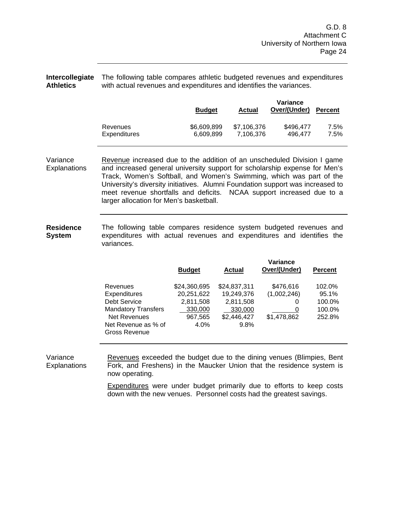**Intercollegiate**  The following table compares athletic budgeted revenues and expenditures **Athletics**  with actual revenues and expenditures and identifies the variances.

|                     | <b>Budget</b> | <b>Actual</b> | Variance<br>Over/(Under) | <b>Percent</b> |
|---------------------|---------------|---------------|--------------------------|----------------|
| Revenues            | \$6,609,899   | \$7,106,376   | \$496.477                | 7.5%           |
| <b>Expenditures</b> | 6,609,899     | 7.106.376     | 496.477                  | 7.5%           |

Variance **Explanations** Revenue increased due to the addition of an unscheduled Division I game and increased general university support for scholarship expense for Men's Track, Women's Softball, and Women's Swimming, which was part of the University's diversity initiatives. Alumni Foundation support was increased to meet revenue shortfalls and deficits. NCAA support increased due to a larger allocation for Men's basketball.

**Residence System**  The following table compares residence system budgeted revenues and expenditures with actual revenues and expenditures and identifies the variances.

|                                      | <b>Budget</b> | Actual       | Variance<br>Over/(Under) | <b>Percent</b> |
|--------------------------------------|---------------|--------------|--------------------------|----------------|
| Revenues                             | \$24,360,695  | \$24,837,311 | \$476,616                | 102.0%         |
| <b>Expenditures</b>                  | 20,251,622    | 19,249,376   | (1,002,246)              | 95.1%          |
| Debt Service                         | 2,811,508     | 2,811,508    | 0                        | 100.0%         |
| <b>Mandatory Transfers</b>           | 330,000       | 330,000      | 0                        | 100.0%         |
| <b>Net Revenues</b>                  | 967,565       | \$2,446,427  | \$1,478,862              | 252.8%         |
| Net Revenue as % of<br>Gross Revenue | 4.0%          | 9.8%         |                          |                |

Variance **Explanations** Revenues exceeded the budget due to the dining venues (Blimpies, Bent Fork, and Freshens) in the Maucker Union that the residence system is now operating.

> Expenditures were under budget primarily due to efforts to keep costs down with the new venues. Personnel costs had the greatest savings.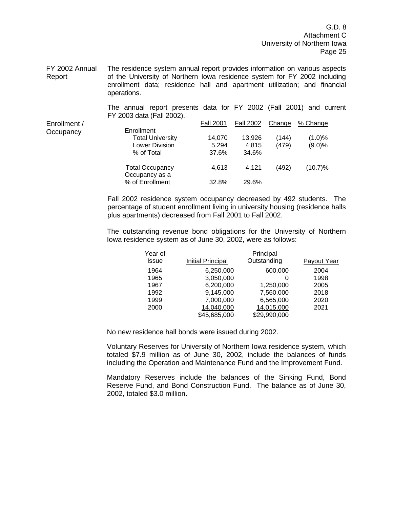G.D. 8 Attachment C University of Northern Iowa Page 25

FY 2002 Annual Report The residence system annual report provides information on various aspects of the University of Northern Iowa residence system for FY 2002 including enrollment data; residence hall and apartment utilization; and financial operations.

> The annual report presents data for FY 2002 (Fall 2001) and current FY 2003 data (Fall 2002).

| Enrollment / |                         | <b>Fall 2001</b> | <b>Fall 2002</b> | Change | % Change  |
|--------------|-------------------------|------------------|------------------|--------|-----------|
| Occupancy    | Enrollment              |                  |                  |        |           |
|              | <b>Total University</b> | 14,070           | 13,926           | (144)  | $(1.0)\%$ |
|              | <b>Lower Division</b>   | 5.294            | 4,815            | (479)  | $(9.0)\%$ |
|              | % of Total              | 37.6%            | 34.6%            |        |           |
|              | <b>Total Occupancy</b>  | 4.613            | 4.121            | (492)  | (10.7)%   |
|              | Occupancy as a          |                  |                  |        |           |
|              | % of Enrollment         | 32.8%            | 29.6%            |        |           |

Fall 2002 residence system occupancy decreased by 492 students. The percentage of student enrollment living in university housing (residence halls plus apartments) decreased from Fall 2001 to Fall 2002.

The outstanding revenue bond obligations for the University of Northern Iowa residence system as of June 30, 2002, were as follows:

| Year of      |                          | Principal    |             |
|--------------|--------------------------|--------------|-------------|
| <b>Issue</b> | <b>Initial Principal</b> | Outstanding  | Payout Year |
| 1964         | 6,250,000                | 600,000      | 2004        |
| 1965         | 3,050,000                | 0            | 1998        |
| 1967         | 6,200,000                | 1,250,000    | 2005        |
| 1992         | 9,145,000                | 7,560,000    | 2018        |
| 1999         | 7,000,000                | 6,565,000    | 2020        |
| 2000         | 14,040,000               | 14,015,000   | 2021        |
|              | \$45,685,000             | \$29,990,000 |             |

No new residence hall bonds were issued during 2002.

Voluntary Reserves for University of Northern Iowa residence system, which totaled \$7.9 million as of June 30, 2002, include the balances of funds including the Operation and Maintenance Fund and the Improvement Fund.

Mandatory Reserves include the balances of the Sinking Fund, Bond Reserve Fund, and Bond Construction Fund. The balance as of June 30, 2002, totaled \$3.0 million.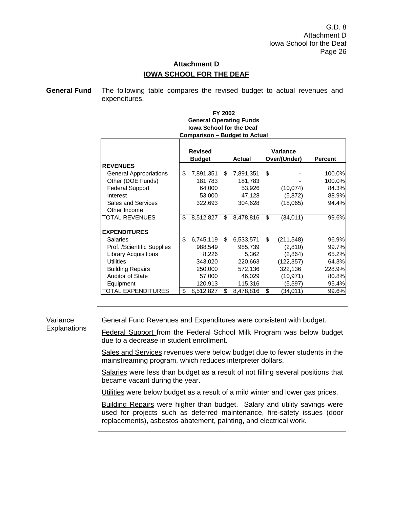# **Attachment D IOWA SCHOOL FOR THE DEAF**

**General Fund** The following table compares the revised budget to actual revenues and expenditures.

#### **Iowa School for the Deaf Comparison – Budget to Actual FY 2002 General Operating Funds**

|                             | <b>Revised</b><br><b>Budget</b> |    | Actual    |    | Variance<br>Over/(Under) | <b>Percent</b> |
|-----------------------------|---------------------------------|----|-----------|----|--------------------------|----------------|
| <b>REVENUES</b>             |                                 |    |           |    |                          |                |
| General Appropriations      | \$<br>7,891,351                 | S  | 7,891,351 | S  |                          | 100.0%         |
| Other (DOE Funds)           | 181,783                         |    | 181,783   |    |                          | 100.0%         |
| <b>Federal Support</b>      | 64,000                          |    | 53,926    |    | (10,074)                 | 84.3%          |
| Interest                    | 53,000                          |    | 47,128    |    | (5, 872)                 | 88.9%          |
| <b>Sales and Services</b>   | 322,693                         |    | 304,628   |    | (18,065)                 | 94.4%          |
| Other Income                |                                 |    |           |    |                          |                |
| TOTAL REVENUES              | \$<br>8,512,827                 | \$ | 8,478,816 | \$ | (34, 011)                | 99.6%          |
| <b>EXPENDITURES</b>         |                                 |    |           |    |                          |                |
| <b>Salaries</b>             | \$<br>6,745,119                 | \$ | 6,533,571 | \$ | (211, 548)               | 96.9%          |
| Prof. /Scientific Supplies  | 988,549                         |    | 985,739   |    | (2,810)                  | 99.7%          |
| <b>Library Acquisitions</b> | 8,226                           |    | 5,362     |    | (2,864)                  | 65.2%          |
| <b>Utilities</b>            | 343,020                         |    | 220,663   |    | (122, 357)               | 64.3%          |
| <b>Building Repairs</b>     | 250,000                         |    | 572,136   |    | 322,136                  | 228.9%         |
| <b>Auditor of State</b>     | 57,000                          |    | 46,029    |    | (10, 971)                | 80.8%          |
| Equipment                   | 120,913                         |    | 115,316   |    | (5,597)                  | 95.4%          |
| TOTAL EXPENDITURES          | \$<br>8,512,827                 | \$ | 8,478,816 | \$ | (34,011)                 | 99.6%          |

Variance **Explanations**  General Fund Revenues and Expenditures were consistent with budget.

Federal Support from the Federal School Milk Program was below budget due to a decrease in student enrollment.

Sales and Services revenues were below budget due to fewer students in the mainstreaming program, which reduces interpreter dollars.

Salaries were less than budget as a result of not filling several positions that became vacant during the year.

Utilities were below budget as a result of a mild winter and lower gas prices.

**Building Repairs were higher than budget. Salary and utility savings were** used for projects such as deferred maintenance, fire-safety issues (door replacements), asbestos abatement, painting, and electrical work.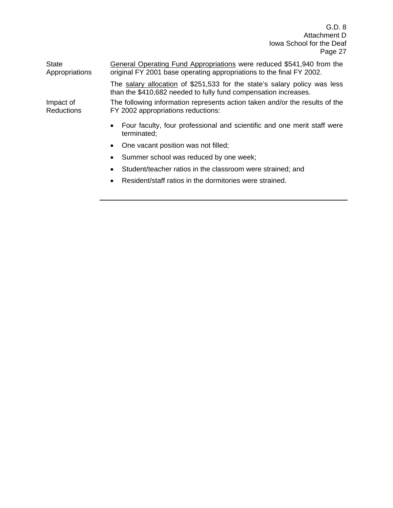| <b>State</b><br>Appropriations | General Operating Fund Appropriations were reduced \$541,940 from the<br>original FY 2001 base operating appropriations to the final FY 2002. |
|--------------------------------|-----------------------------------------------------------------------------------------------------------------------------------------------|
|                                | The salary allocation of \$251,533 for the state's salary policy was less<br>than the \$410,682 needed to fully fund compensation increases.  |
| Impact of<br><b>Reductions</b> | The following information represents action taken and/or the results of the<br>FY 2002 appropriations reductions:                             |
|                                | Four faculty, four professional and scientific and one merit staff were<br>$\bullet$<br>terminated;                                           |
|                                | One vacant position was not filled;<br>$\bullet$                                                                                              |
|                                | Summer school was reduced by one week;<br>$\bullet$                                                                                           |
|                                | Student/teacher ratios in the classroom were strained; and<br>$\bullet$                                                                       |
|                                |                                                                                                                                               |

• Resident/staff ratios in the dormitories were strained.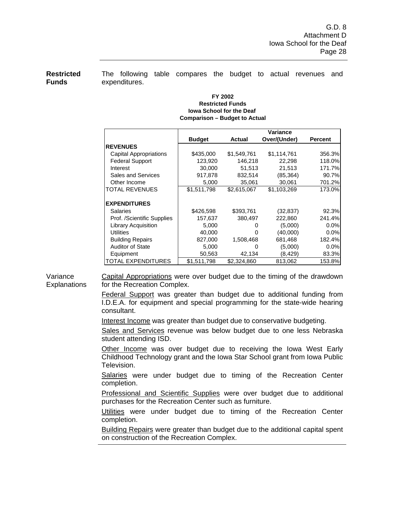**Restricted Funds** 

The following table compares the budget to actual revenues and expenditures.

#### **Iowa School for the Deaf Comparison – Budget to Actual FY 2002 Restricted Funds**

|                               |               | Variance      |              |                |  |  |  |
|-------------------------------|---------------|---------------|--------------|----------------|--|--|--|
|                               | <b>Budget</b> | <b>Actual</b> | Over/(Under) | <b>Percent</b> |  |  |  |
| <b>REVENUES</b>               |               |               |              |                |  |  |  |
| <b>Capital Appropriations</b> | \$435,000     | \$1,549,761   | \$1,114,761  | 356.3%         |  |  |  |
| <b>Federal Support</b>        | 123,920       | 146.218       | 22,298       | 118.0%         |  |  |  |
| Interest                      | 30.000        | 51,513        | 21.513       | 171.7%         |  |  |  |
| Sales and Services            | 917,878       | 832,514       | (85,364)     | 90.7%          |  |  |  |
| Other Income                  | 5.000         | 35.061        | 30.061       | 701.2%         |  |  |  |
| TOTAL REVENUES                | \$1,511,798   | \$2,615,067   | \$1,103,269  | 173.0%         |  |  |  |
|                               |               |               |              |                |  |  |  |
| <b>EXPENDITURES</b>           |               |               |              |                |  |  |  |
| <b>Salaries</b>               | \$426,598     | \$393,761     | (32,837)     | 92.3%          |  |  |  |
| Prof. /Scientific Supplies    | 157,637       | 380.497       | 222,860      | 241.4%         |  |  |  |
| <b>Library Acquisition</b>    | 5,000         |               | (5,000)      | 0.0%           |  |  |  |
| <b>Utilities</b>              | 40,000        | O             | (40,000)     | 0.0%           |  |  |  |
| <b>Building Repairs</b>       | 827,000       | 1,508,468     | 681,468      | 182.4%         |  |  |  |
| <b>Auditor of State</b>       | 5,000         | O             | (5,000)      | 0.0%           |  |  |  |
| Equipment                     | 50,563        | 42,134        | (8,429)      | 83.3%          |  |  |  |
| TOTAL EXPENDITURES            | \$1,511,798   | \$2,324,860   | 813,062      | 153.8%         |  |  |  |

Variance **Explanations** Capital Appropriations were over budget due to the timing of the drawdown for the Recreation Complex.

> Federal Support was greater than budget due to additional funding from I.D.E.A. for equipment and special programming for the state-wide hearing consultant.

Interest Income was greater than budget due to conservative budgeting.

Sales and Services revenue was below budget due to one less Nebraska student attending ISD.

Other Income was over budget due to receiving the Iowa West Early Childhood Technology grant and the Iowa Star School grant from Iowa Public Television.

Salaries were under budget due to timing of the Recreation Center completion.

Professional and Scientific Supplies were over budget due to additional purchases for the Recreation Center such as furniture.

Utilities were under budget due to timing of the Recreation Center completion.

Building Repairs were greater than budget due to the additional capital spent on construction of the Recreation Complex.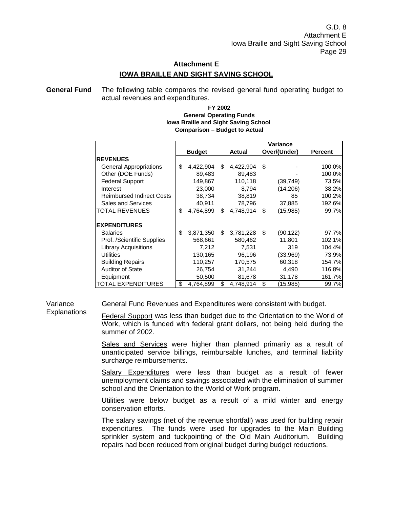# **Attachment E IOWA BRAILLE AND SIGHT SAVING SCHOOL**

**General Fund** The following table compares the revised general fund operating budget to actual revenues and expenditures.

#### **Iowa Braille and Sight Saving School Comparison – Budget to Actual FY 2002 General Operating Funds**

|                                  | Variance        |    |           |    |              |                |
|----------------------------------|-----------------|----|-----------|----|--------------|----------------|
|                                  | <b>Budget</b>   |    | Actual    |    | Over/(Under) | <b>Percent</b> |
| <b>REVENUES</b>                  |                 |    |           |    |              |                |
| <b>General Appropriations</b>    | \$<br>4,422,904 | \$ | 4,422,904 | \$ |              | 100.0%         |
| Other (DOE Funds)                | 89,483          |    | 89,483    |    |              | 100.0%         |
| <b>Federal Support</b>           | 149,867         |    | 110,118   |    | (39, 749)    | 73.5%          |
| Interest                         | 23,000          |    | 8,794     |    | (14,206)     | 38.2%          |
| <b>Reimbursed Indirect Costs</b> | 38,734          |    | 38,819    |    | 85           | 100.2%         |
| <b>Sales and Services</b>        | 40.911          |    | 78,796    |    | 37,885       | 192.6%         |
| <b>TOTAL REVENUES</b>            | \$<br>4.764.899 | \$ | 4,748,914 | \$ | (15,985)     | 99.7%          |
| <b>EXPENDITURES</b>              |                 |    |           |    |              |                |
| <b>Salaries</b>                  | \$<br>3,871,350 | \$ | 3,781,228 | \$ | (90, 122)    | 97.7%          |
| Prof. /Scientific Supplies       | 568,661         |    | 580,462   |    | 11,801       | 102.1%         |
| <b>Library Acquisitions</b>      | 7,212           |    | 7,531     |    | 319          | 104.4%         |
| <b>Utilities</b>                 | 130,165         |    | 96,196    |    | (33,969)     | 73.9%          |
| <b>Building Repairs</b>          | 110,257         |    | 170,575   |    | 60,318       | 154.7%         |
| <b>Auditor of State</b>          | 26,754          |    | 31,244    |    | 4,490        | 116.8%         |
| Equipment                        | 50,500          |    | 81,678    |    | 31,178       | 161.7%         |
| <b>TOTAL EXPENDITURES</b>        | \$<br>4,764,899 | \$ | 4,748,914 | \$ | (15,985)     | 99.7%          |

Variance **Explanations**  General Fund Revenues and Expenditures were consistent with budget.

Federal Support was less than budget due to the Orientation to the World of Work, which is funded with federal grant dollars, not being held during the summer of 2002.

Sales and Services were higher than planned primarily as a result of unanticipated service billings, reimbursable lunches, and terminal liability surcharge reimbursements.

Salary Expenditures were less than budget as a result of fewer unemployment claims and savings associated with the elimination of summer school and the Orientation to the World of Work program.

Utilities were below budget as a result of a mild winter and energy conservation efforts.

The salary savings (net of the revenue shortfall) was used for building repair expenditures. The funds were used for upgrades to the Main Building sprinkler system and tuckpointing of the Old Main Auditorium. Building repairs had been reduced from original budget during budget reductions.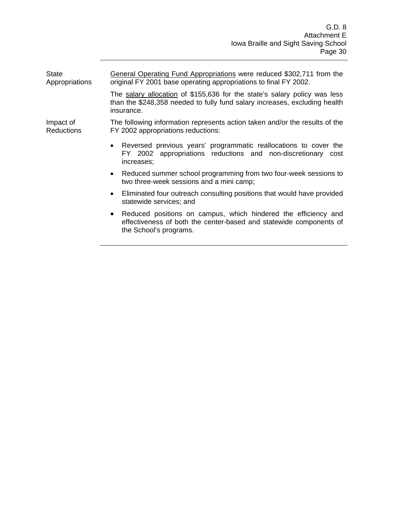| <b>State</b><br>Appropriations | General Operating Fund Appropriations were reduced \$302,711 from the<br>original FY 2001 base operating appropriations to final FY 2002.                                   |  |  |  |  |  |  |
|--------------------------------|-----------------------------------------------------------------------------------------------------------------------------------------------------------------------------|--|--|--|--|--|--|
|                                | The salary allocation of \$155,636 for the state's salary policy was less<br>than the \$248,358 needed to fully fund salary increases, excluding health<br>insurance.       |  |  |  |  |  |  |
| Impact of<br><b>Reductions</b> | The following information represents action taken and/or the results of the<br>FY 2002 appropriations reductions:                                                           |  |  |  |  |  |  |
|                                | Reversed previous years' programmatic reallocations to cover the<br>٠<br>FY 2002 appropriations reductions and non-discretionary cost<br>increases;                         |  |  |  |  |  |  |
|                                | • Reduced summer school programming from two four-week sessions to<br>two three-week sessions and a mini camp;                                                              |  |  |  |  |  |  |
|                                | Eliminated four outreach consulting positions that would have provided<br>$\bullet$<br>statewide services; and                                                              |  |  |  |  |  |  |
|                                | Reduced positions on campus, which hindered the efficiency and<br>$\bullet$<br>effectiveness of both the center-based and statewide components of<br>the School's programs. |  |  |  |  |  |  |